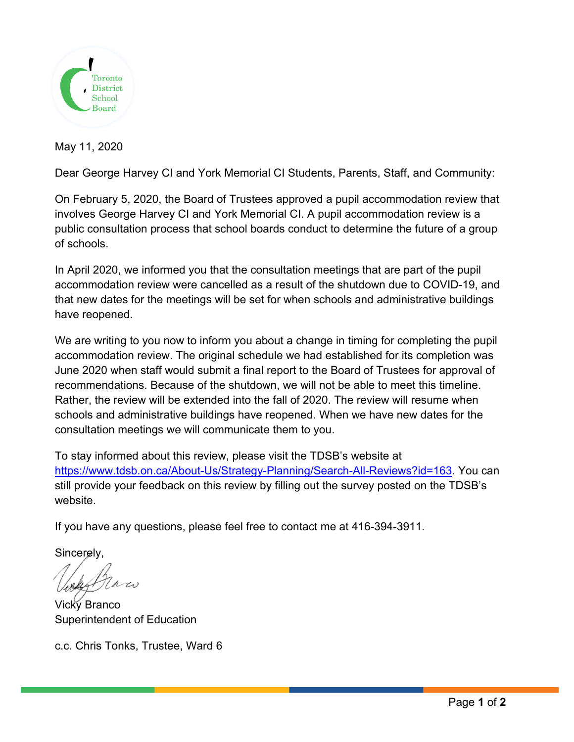

May 11, 2020

Dear George Harvey CI and York Memorial CI Students, Parents, Staff, and Community:

On February 5, 2020, the Board of Trustees approved a pupil accommodation review that involves George Harvey CI and York Memorial CI. A pupil accommodation review is a public consultation process that school boards conduct to determine the future of a group of schools.

In April 2020, we informed you that the consultation meetings that are part of the pupil accommodation review were cancelled as a result of the shutdown due to COVID-19, and that new dates for the meetings will be set for when schools and administrative buildings have reopened.

We are writing to you now to inform you about a change in timing for completing the pupil accommodation review. The original schedule we had established for its completion was June 2020 when staff would submit a final report to the Board of Trustees for approval of recommendations. Because of the shutdown, we will not be able to meet this timeline. Rather, the review will be extended into the fall of 2020. The review will resume when schools and administrative buildings have reopened. When we have new dates for the consultation meetings we will communicate them to you.

To stay informed about this review, please visit the TDSB's website at https://www.tdsb.on.ca/About-Us/Strategy-Planning/Search-All-Reviews?id=163. You can still provide your feedback on this review by filling out the survey posted on the TDSB's website.

If you have any questions, please feel free to contact me at 416-394-3911.

Sincerely,

Vicky Branco Superintendent of Education

c.c. Chris Tonks, Trustee, Ward 6